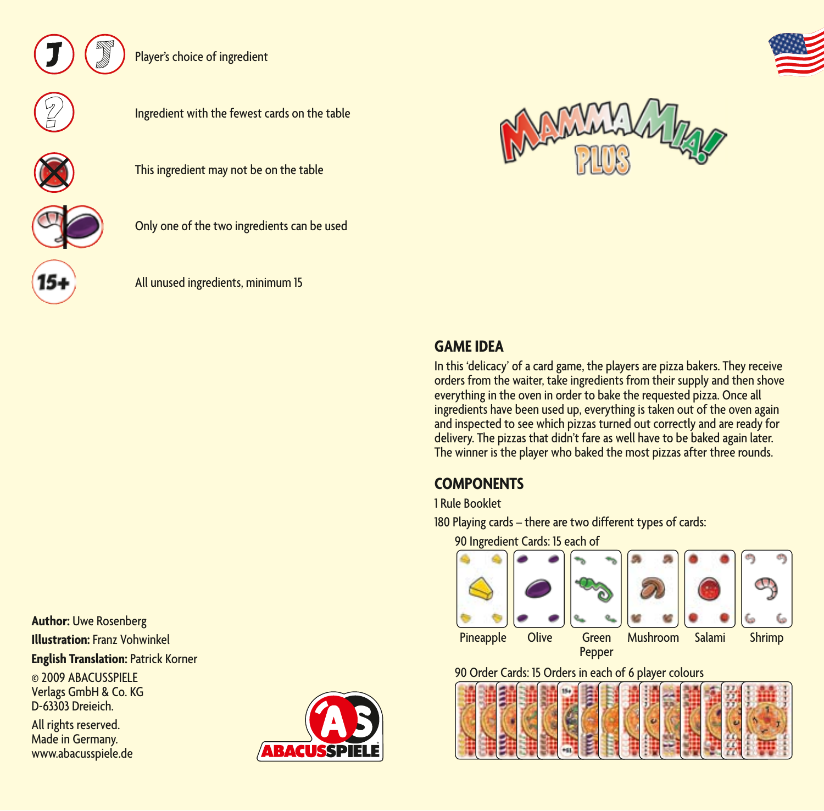

Player's choice of ingredient











Ingredient with the fewest cards on the table



All unused ingredients, minimum 15

**Author:** Uwe Rosenberg **Illustration:** Franz Vohwinkel **English Translation:** Patrick Korner

© 2009 ABACUSSPIELE Verlags GmbH & Co. KG D-63303 Dreieich.

All rights reserved. Made in Germany. www.abacusspiele.de





## **GAME IDEA**

In this 'delicacy' of a card game, the players are pizza bakers. They receive orders from the waiter, take ingredients from their supply and then shove everything in the oven in order to bake the requested pizza. Once all ingredients have been used up, everything is taken out of the oven again and inspected to see which pizzas turned out correctly and are ready for delivery. The pizzas that didn't fare as well have to be baked again later. The winner is the player who baked the most pizzas after three rounds.

# **COMPONENTS**

### 1 Rule Booklet

180 Playing cards – there are two different types of cards:

90 Ingredient Cards: 15 each of



## 90 Order Cards: 15 Orders in each of 6 player colours



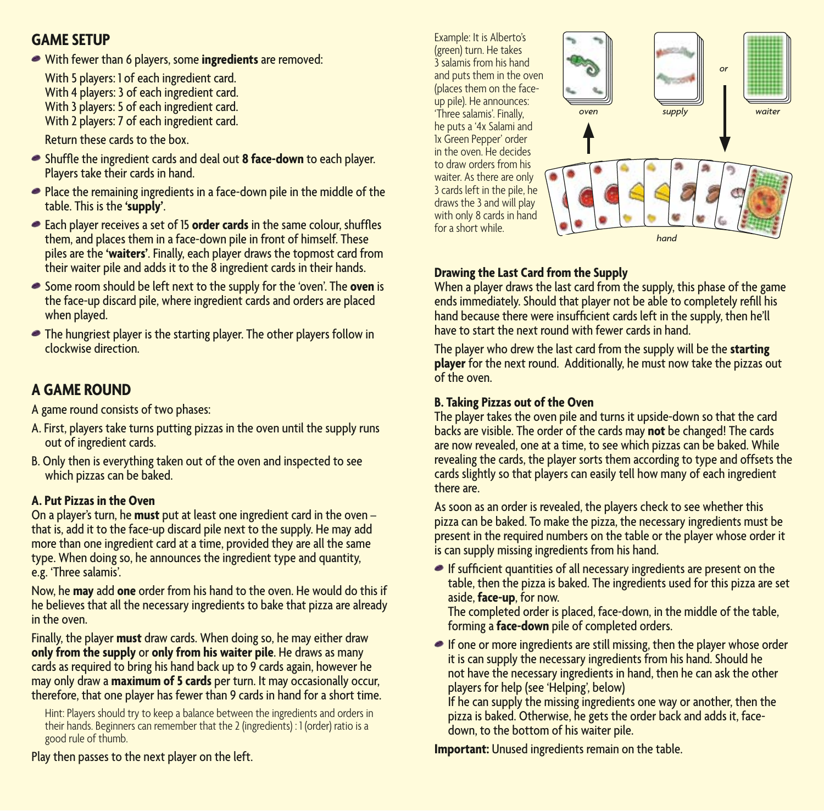## **GAME SETUP**

With fewer than 6 players, some **ingredients** are removed:

With 5 players: 1 of each ingredient card. With 4 players: 3 of each ingredient card. With 3 players: 5 of each ingredient card. With 2 players: 7 of each ingredient card.

Return these cards to the box.

- Shuffle the ingredient cards and deal out **8 face-down** to each player. Players take their cards in hand.
- Place the remaining ingredients in a face-down pile in the middle of the table. This is the **'supply'**.
- Each player receives a set of 15 **order cards** in the same colour, shuffles them, and places them in a face-down pile in front of himself. These piles are the **'waiters'**. Finally, each player draws the topmost card from their waiter pile and adds it to the 8 ingredient cards in their hands.
- Some room should be left next to the supply for the 'oven'. The **oven** is the face-up discard pile, where ingredient cards and orders are placed when played.
- The hungriest player is the starting player. The other players follow in clockwise direction.

# **A GAME ROUND**

A game round consists of two phases:

- A. First, players take turns putting pizzas in the oven until the supply runs out of ingredient cards.
- B. Only then is everything taken out of the oven and inspected to see which pizzas can be baked.

### **A. Put Pizzas in the Oven**

On a player's turn, he **must** put at least one ingredient card in the oven – that is, add it to the face-up discard pile next to the supply. He may add more than one ingredient card at a time, provided they are all the same type. When doing so, he announces the ingredient type and quantity, e.g. 'Three salamis'.

Now, he **may** add **one** order from his hand to the oven. He would do this if he believes that all the necessary ingredients to bake that pizza are already in the oven.

Finally, the player **must** draw cards. When doing so, he may either draw **only from the supply** or **only from his waiter pile**. He draws as many cards as required to bring his hand back up to 9 cards again, however he may only draw a **maximum of 5 cards** per turn. It may occasionally occur, therefore, that one player has fewer than 9 cards in hand for a short time.

Hint: Players should try to keep a balance between the ingredients and orders in their hands. Beginners can remember that the 2 (ingredients) : 1 (order) ratio is a good rule of thumb.

Example: It is Alberto's (green) turn. He takes 3 salamis from his hand and puts them in the oven (places them on the faceup pile). He announces: 'Three salamis'. Finally, he puts a '4x Salami and 1x Green Pepper' order in the oven. He decides to draw orders from his waiter. As there are only 3 cards left in the pile, he draws the 3 and will play with only 8 cards in hand for a short while.



### **Drawing the Last Card from the Supply**

When a player draws the last card from the supply, this phase of the game ends immediately. Should that player not be able to completely refill his hand because there were insufficient cards left in the supply, then he'll have to start the next round with fewer cards in hand.

The player who drew the last card from the supply will be the **starting player** for the next round. Additionally, he must now take the pizzas out of the oven.

### **B. Taking Pizzas out of the Oven**

The player takes the oven pile and turns it upside-down so that the card backs are visible. The order of the cards may **not** be changed! The cards are now revealed, one at a time, to see which pizzas can be baked. While revealing the cards, the player sorts them according to type and offsets the cards slightly so that players can easily tell how many of each ingredient there are.

As soon as an order is revealed, the players check to see whether this pizza can be baked. To make the pizza, the necessary ingredients must be present in the required numbers on the table or the player whose order it is can supply missing ingredients from his hand.

 $\bullet$  If sufficient quantities of all necessary ingredients are present on the table, then the pizza is baked. The ingredients used for this pizza are set aside, **face-up**, for now.

The completed order is placed, face-down, in the middle of the table, forming a **face-down** pile of completed orders.

 $\bullet$  If one or more ingredients are still missing, then the player whose order it is can supply the necessary ingredients from his hand. Should he not have the necessary ingredients in hand, then he can ask the other players for help (see 'Helping', below)

If he can supply the missing ingredients one way or another, then the pizza is baked. Otherwise, he gets the order back and adds it, facedown, to the bottom of his waiter pile.

**Important:** Unused ingredients remain on the table.

Play then passes to the next player on the left.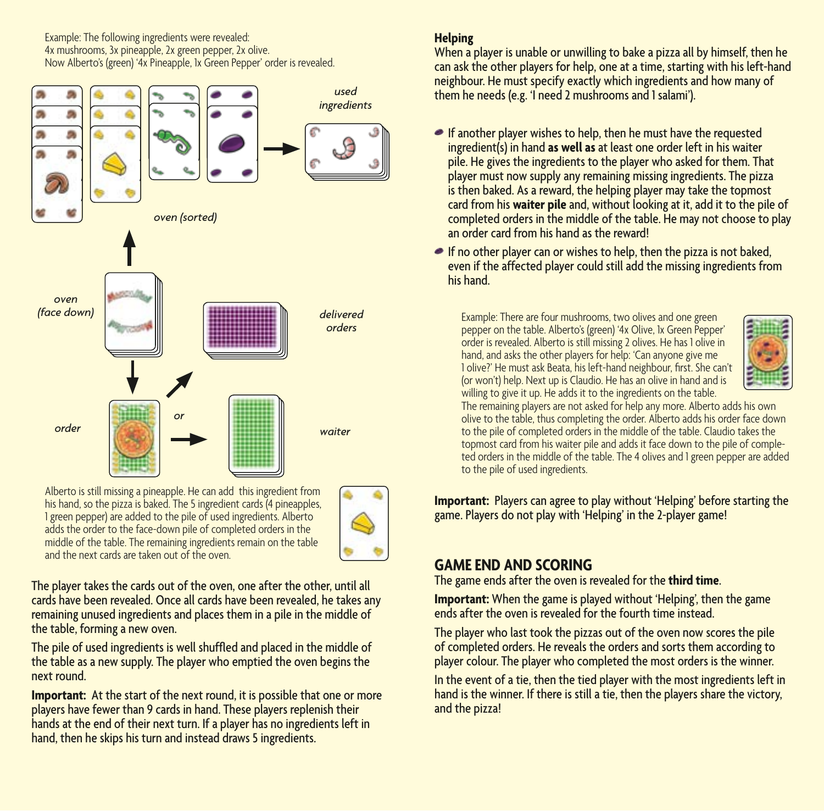Example: The following ingredients were revealed: 4x mushrooms, 3x pineapple, 2x green pepper, 2x olive. Now Alberto's (green) '4x Pineapple, 1x Green Pepper' order is revealed.



Alberto is still missing a pineapple. He can add this ingredient from his hand, so the pizza is baked. The 5 ingredient cards (4 pineapples, 1 green pepper) are added to the pile of used ingredients. Alberto adds the order to the face-down pile of completed orders in the middle of the table. The remaining ingredients remain on the table and the next cards are taken out of the oven.



The player takes the cards out of the oven, one after the other, until all cards have been revealed. Once all cards have been revealed, he takes any remaining unused ingredients and places them in a pile in the middle of the table, forming a new oven.

The pile of used ingredients is well shuffled and placed in the middle of the table as a new supply. The player who emptied the oven begins the next round.

**Important:** At the start of the next round, it is possible that one or more players have fewer than 9 cards in hand. These players replenish their hands at the end of their next turn. If a player has no ingredients left in hand, then he skips his turn and instead draws 5 ingredients.

### **Helping**

When a player is unable or unwilling to bake a pizza all by himself, then he can ask the other players for help, one at a time, starting with his left-hand neighbour. He must specify exactly which ingredients and how many of them he needs (e.g. 'I need 2 mushrooms and 1 salami').

- $\bullet$  If another player wishes to help, then he must have the requested ingredient(s) in hand **as well as** at least one order left in his waiter pile. He gives the ingredients to the player who asked for them. That player must now supply any remaining missing ingredients. The pizza is then baked. As a reward, the helping player may take the topmost card from his **waiter pile** and, without looking at it, add it to the pile of completed orders in the middle of the table. He may not choose to play an order card from his hand as the reward!
- $\bullet$  If no other player can or wishes to help, then the pizza is not baked, even if the affected player could still add the missing ingredients from his hand.

Example: There are four mushrooms, two olives and one green pepper on the table. Alberto's (green) '4x Olive, 1x Green Pepper' order is revealed. Alberto is still missing 2 olives. He has 1 olive in hand, and asks the other players for help: 'Can anyone give me 1 olive?' He must ask Beata, his left-hand neighbour, first. She can't (or won't) help. Next up is Claudio. He has an olive in hand and is willing to give it up. He adds it to the ingredients on the table.



The remaining players are not asked for help any more. Alberto adds his own olive to the table, thus completing the order. Alberto adds his order face down to the pile of completed orders in the middle of the table. Claudio takes the topmost card from his waiter pile and adds it face down to the pile of completed orders in the middle of the table. The 4 olives and 1 green pepper are added to the pile of used ingredients.

**Important:** Players can agree to play without 'Helping' before starting the game. Players do not play with 'Helping' in the 2-player game!

# **GAME END AND SCORING**

The game ends after the oven is revealed for the **third time**.

**Important:** When the game is played without 'Helping', then the game ends after the oven is revealed for the fourth time instead.

The player who last took the pizzas out of the oven now scores the pile of completed orders. He reveals the orders and sorts them according to player colour. The player who completed the most orders is the winner.

In the event of a tie, then the tied player with the most ingredients left in hand is the winner. If there is still a tie, then the players share the victory, and the pizza!